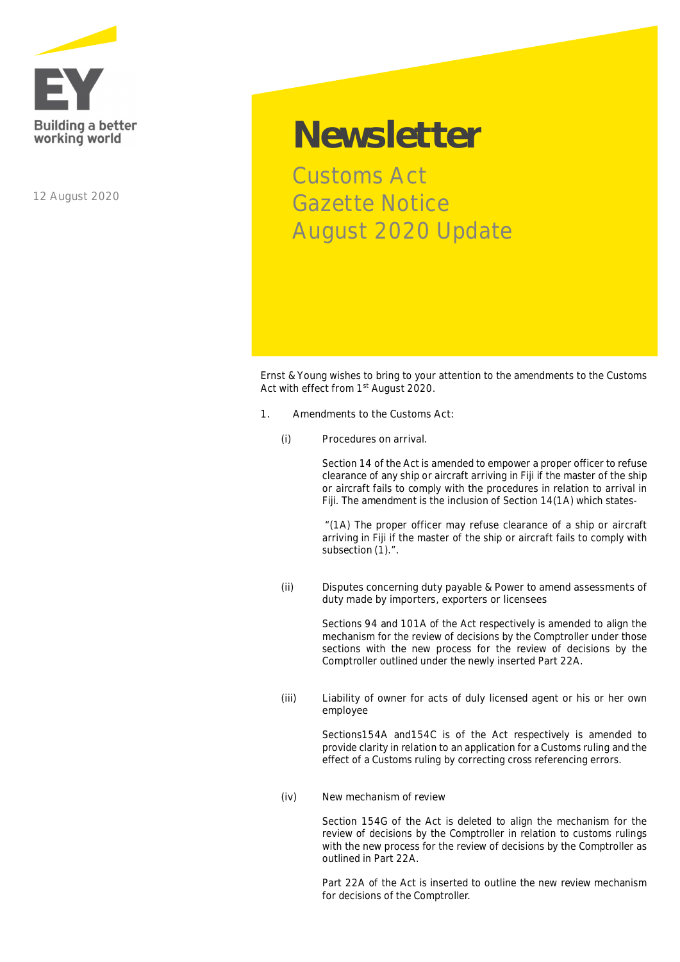

**12 August 2020**

## **Newsletter**

Customs Act Gazette Notice August 2020 Update

Ernst & Young wishes to bring to your attention to the amendments to the Customs Act with effect from 1<sup>st</sup> August 2020.

- **1. Amendments to the Customs Act:**
	- **(i) Procedures on arrival.**

Section 14 of the Act is amended to empower a proper officer to refuse clearance of any ship or aircraft arriving in Fiji if the master of the ship or aircraft fails to comply with the procedures in relation to arrival in Fiji. The amendment is the inclusion of Section 14(1A) which states-

 *"(1A) The proper officer may refuse clearance of a ship or aircraft arriving in Fiji if the master of the ship or aircraft fails to comply with subsection (1).".*

**(ii) Disputes concerning duty payable & Power to amend assessments of duty made by importers, exporters or licensees**

> Sections 94 and 101A of the Act respectively is amended to align the mechanism for the review of decisions by the Comptroller under those sections with the new process for the review of decisions by the Comptroller outlined under the newly inserted Part 22A.

**(iii) Liability of owner for acts of duly licensed agent or his or her own employee**

> Sections154A and154C is of the Act respectively is amended to provide clarity in relation to an application for a Customs ruling and the effect of a Customs ruling by correcting cross referencing errors.

**(iv) New mechanism of review**

Section 154G of the Act is deleted to align the mechanism for the review of decisions by the Comptroller in relation to customs rulings with the new process for the review of decisions by the Comptroller as outlined in Part 22A.

Part 22A of the Act is inserted to outline the new review mechanism for decisions of the Comptroller.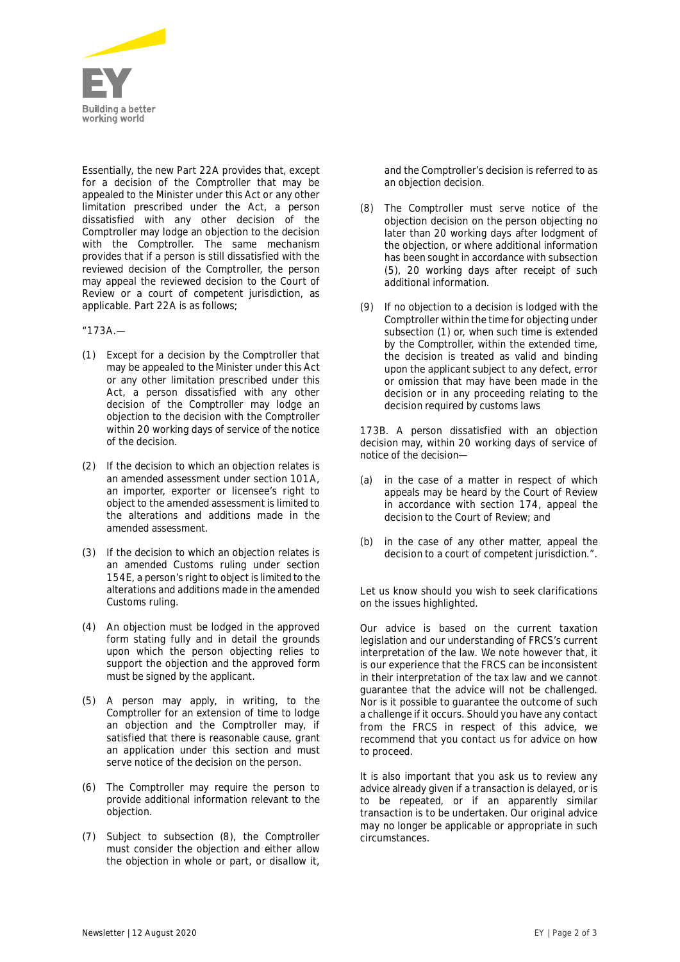

Essentially, the new Part 22A provides that, except for a decision of the Comptroller that may be appealed to the Minister under this Act or any other limitation prescribed under the Act, a person dissatisfied with any other decision of the Comptroller may lodge an objection to the decision with the Comptroller. The same mechanism provides that if a person is still dissatisfied with the reviewed decision of the Comptroller, the person may appeal the reviewed decision to the Court of Review or a court of competent jurisdiction, as applicable. Part 22A is as follows;

*"173A.—*

- *(1) Except for a decision by the Comptroller that may be appealed to the Minister under this Act or any other limitation prescribed under this Act, a person dissatisfied with any other decision of the Comptroller may lodge an objection to the decision with the Comptroller within 20 working days of service of the notice of the decision.*
- *(2) If the decision to which an objection relates is an amended assessment under section 101A, an importer, exporter or licensee's right to object to the amended assessment is limited to the alterations and additions made in the amended assessment.*
- *(3) If the decision to which an objection relates is an amended Customs ruling under section 154E, a person's right to object is limited to the alterations and additions made in the amended Customs ruling.*
- *(4) An objection must be lodged in the approved form stating fully and in detail the grounds upon which the person objecting relies to support the objection and the approved form must be signed by the applicant.*
- *(5) A person may apply, in writing, to the Comptroller for an extension of time to lodge an objection and the Comptroller may, if satisfied that there is reasonable cause, grant an application under this section and must serve notice of the decision on the person.*
- *(6) The Comptroller may require the person to provide additional information relevant to the objection.*
- (7) *Subject to subsection (8), the Comptroller must consider the objection and either allow the objection in whole or part, or disallow it,*

*and the Comptroller's decision is referred to as an objection decision.*

- *(8) The Comptroller must serve notice of the objection decision on the person objecting no later than 20 working days after lodgment of the objection, or where additional information has been sought in accordance with subsection (5), 20 working days after receipt of such additional information.*
- *(9) If no objection to a decision is lodged with the Comptroller within the time for objecting under subsection (1) or, when such time is extended by the Comptroller, within the extended time, the decision is treated as valid and binding upon the applicant subject to any defect, error or omission that may have been made in the decision or in any proceeding relating to the decision required by customs laws*

*173B. A person dissatisfied with an objection decision may, within 20 working days of service of notice of the decision—*

- *(a) in the case of a matter in respect of which appeals may be heard by the Court of Review in accordance with section 174, appeal the decision to the Court of Review; and*
- *(b) in the case of any other matter, appeal the decision to a court of competent jurisdiction.".*

Let us know should you wish to seek clarifications on the issues highlighted.

*Our advice is based on the current taxation legislation and our understanding of FRCS's current interpretation of the law. We note however that, it is our experience that the FRCS can be inconsistent in their interpretation of the tax law and we cannot guarantee that the advice will not be challenged. Nor is it possible to guarantee the outcome of such a challenge if it occurs. Should you have any contact from the FRCS in respect of this advice, we recommend that you contact us for advice on how to proceed.*

*It is also important that you ask us to review any advice already given if a transaction is delayed, or is to be repeated, or if an apparently similar transaction is to be undertaken. Our original advice may no longer be applicable or appropriate in such circumstances.*